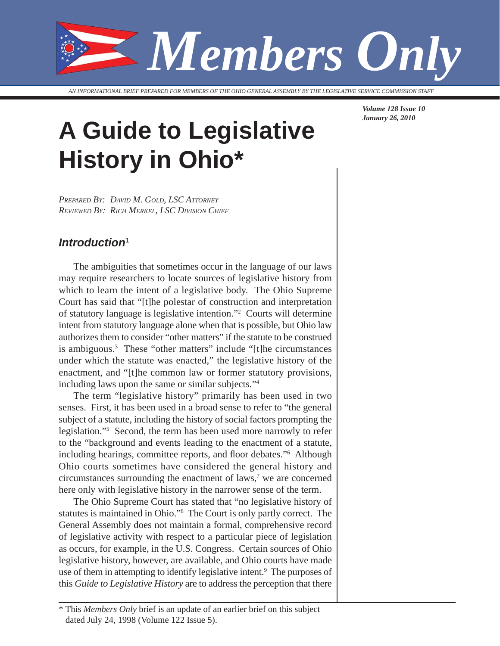

*AN INFORMATIONAL BRIEF PREPARED FOR MEMBERS OF THE OHIO GENERAL ASSEMBLY BY THE LEGISLATIVE SERVICE COMMISSION STAFF*

# **A Guide to Legislative History in Ohio\***

*PREPARED BY: DAVID M. GOLD, LSC ATTORNEY REVIEWED BY: RICH MERKEL, LSC DIVISION CHIEF*

### *Introduction*<sup>1</sup>

The ambiguities that sometimes occur in the language of our laws may require researchers to locate sources of legislative history from which to learn the intent of a legislative body. The Ohio Supreme Court has said that "[t]he polestar of construction and interpretation of statutory language is legislative intention."2 Courts will determine intent from statutory language alone when that is possible, but Ohio law authorizes them to consider "other matters" if the statute to be construed is ambiguous.3 These "other matters" include "[t]he circumstances under which the statute was enacted," the legislative history of the enactment, and "[t]he common law or former statutory provisions, including laws upon the same or similar subjects."4

The term "legislative history" primarily has been used in two senses. First, it has been used in a broad sense to refer to "the general subject of a statute, including the history of social factors prompting the legislation."5 Second, the term has been used more narrowly to refer to the "background and events leading to the enactment of a statute, including hearings, committee reports, and floor debates."<sup>6</sup> Although Ohio courts sometimes have considered the general history and circumstances surrounding the enactment of laws,<sup>7</sup> we are concerned here only with legislative history in the narrower sense of the term.

The Ohio Supreme Court has stated that "no legislative history of statutes is maintained in Ohio."8 The Court is only partly correct. The General Assembly does not maintain a formal, comprehensive record of legislative activity with respect to a particular piece of legislation as occurs, for example, in the U.S. Congress. Certain sources of Ohio legislative history, however, are available, and Ohio courts have made use of them in attempting to identify legislative intent.<sup>9</sup> The purposes of this *Guide to Legislative History* are to address the perception that there

*Volume 128 Issue 10 January 26, 2010*

<sup>\*</sup> This *Members Only* brief is an update of an earlier brief on this subject dated July 24, 1998 (Volume 122 Issue 5).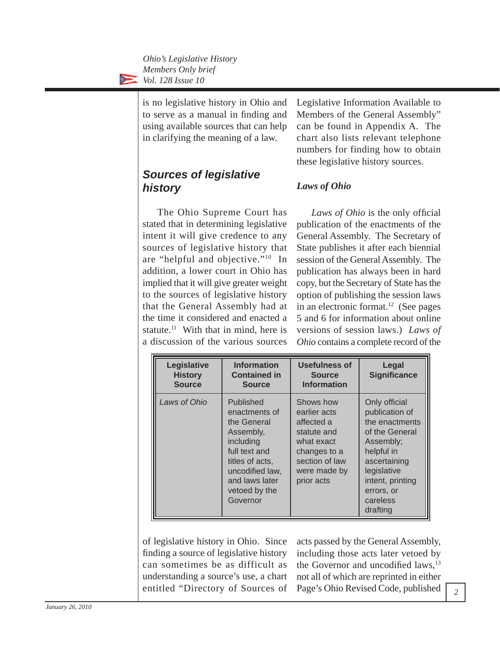> is no legislative history in Ohio and to serve as a manual in finding and using available sources that can help in clarifying the meaning of a law.

# *Sources of legislative history*

The Ohio Supreme Court has stated that in determining legislative intent it will give credence to any sources of legislative history that are "helpful and objective."10 In addition, a lower court in Ohio has implied that it will give greater weight to the sources of legislative history that the General Assembly had at the time it considered and enacted a statute.<sup>11</sup> With that in mind, here is a discussion of the various sources

Legislative Information Available to Members of the General Assembly" can be found in Appendix A. The chart also lists relevant telephone numbers for finding how to obtain these legislative history sources.

### *Laws of Ohio*

*Laws of Ohio* is the only official publication of the enactments of the General Assembly. The Secretary of State publishes it after each biennial session of the General Assembly. The publication has always been in hard copy, but the Secretary of State has the option of publishing the session laws in an electronic format. $^{12}$  (See pages 5 and 6 for information about online versions of session laws.) *Laws of Ohio* contains a complete record of the

| Legislative<br><b>History</b><br><b>Source</b> | <b>Information</b><br><b>Contained in</b><br><b>Source</b>                                                                                                                | <b>Usefulness of</b><br><b>Source</b><br><b>Information</b>                                                                          | Legal<br><b>Significance</b>                                                                                                                                                            |
|------------------------------------------------|---------------------------------------------------------------------------------------------------------------------------------------------------------------------------|--------------------------------------------------------------------------------------------------------------------------------------|-----------------------------------------------------------------------------------------------------------------------------------------------------------------------------------------|
| Laws of Ohio                                   | Published<br>enactments of<br>the General<br>Assembly,<br>including<br>full text and<br>titles of acts,<br>uncodified law,<br>and laws later<br>vetoed by the<br>Governor | Shows how<br>earlier acts<br>affected a<br>statute and<br>what exact<br>changes to a<br>section of law<br>were made by<br>prior acts | Only official<br>publication of<br>the enactments<br>of the General<br>Assembly;<br>helpful in<br>ascertaining<br>legislative<br>intent, printing<br>errors, or<br>careless<br>drafting |

of legislative history in Ohio. Since finding a source of legislative history can sometimes be as difficult as understanding a source's use, a chart entitled "Directory of Sources of acts passed by the General Assembly, including those acts later vetoed by the Governor and uncodified laws, $^{13}$ not all of which are reprinted in either Page's Ohio Revised Code, published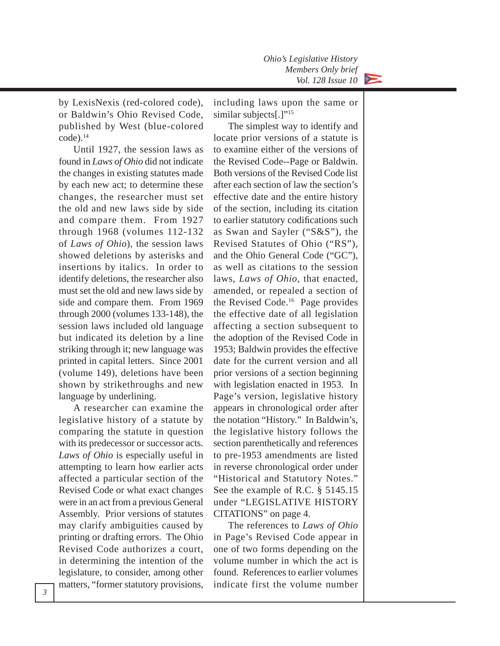by LexisNexis (red-colored code), or Baldwin's Ohio Revised Code, published by West (blue-colored code).14

Until 1927, the session laws as found in *Laws of Ohio* did not indicate the changes in existing statutes made by each new act; to determine these changes, the researcher must set the old and new laws side by side and compare them. From 1927 through 1968 (volumes 112-132 of *Laws of Ohio*), the session laws showed deletions by asterisks and insertions by italics. In order to identify deletions, the researcher also must set the old and new laws side by side and compare them. From 1969 through 2000 (volumes 133-148), the session laws included old language but indicated its deletion by a line striking through it; new language was printed in capital letters. Since 2001 (volume 149), deletions have been shown by strikethroughs and new language by underlining.

A researcher can examine the legislative history of a statute by comparing the statute in question with its predecessor or successor acts. *Laws of Ohio* is especially useful in attempting to learn how earlier acts affected a particular section of the Revised Code or what exact changes were in an act from a previous General Assembly. Prior versions of statutes may clarify ambiguities caused by printing or drafting errors. The Ohio Revised Code authorizes a court, in determining the intention of the legislature, to consider, among other matters, "former statutory provisions,

including laws upon the same or similar subjects[.]"<sup>15</sup>

The simplest way to identify and locate prior versions of a statute is to examine either of the versions of the Revised Code--Page or Baldwin. Both versions of the Revised Code list after each section of law the section's effective date and the entire history of the section, including its citation to earlier statutory codifications such as Swan and Sayler ("S&S"), the Revised Statutes of Ohio ("RS"), and the Ohio General Code ("GC"), as well as citations to the session laws, *Laws of Ohio*, that enacted, amended, or repealed a section of the Revised Code.16 Page provides the effective date of all legislation affecting a section subsequent to the adoption of the Revised Code in 1953; Baldwin provides the effective date for the current version and all prior versions of a section beginning with legislation enacted in 1953. In Page's version, legislative history appears in chronological order after the notation "History." In Baldwin's, the legislative history follows the section parenthetically and references to pre-1953 amendments are listed in reverse chronological order under "Historical and Statutory Notes." See the example of R.C. § 5145.15 under "LEGISLATIVE HISTORY CITATIONS" on page 4.

The references to *Laws of Ohio* in Page's Revised Code appear in one of two forms depending on the volume number in which the act is found. References to earlier volumes indicate first the volume number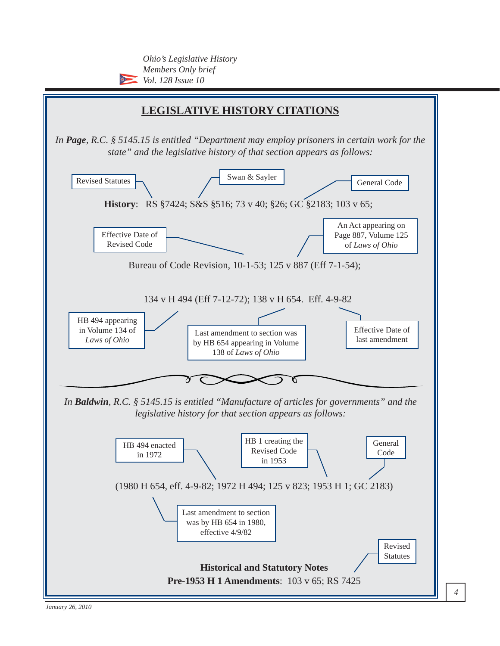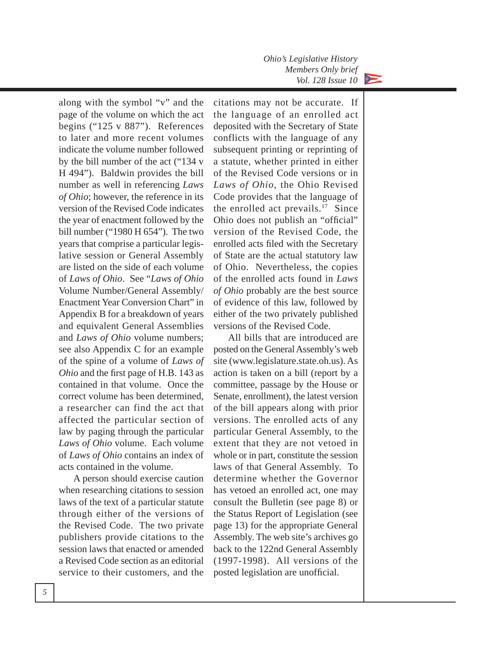

along with the symbol "v" and the page of the volume on which the act begins ("125 v 887"). References to later and more recent volumes indicate the volume number followed by the bill number of the act ("134 v H 494"). Baldwin provides the bill number as well in referencing *Laws of Ohio*; however, the reference in its version of the Revised Code indicates the year of enactment followed by the bill number ("1980 H 654"). The two years that comprise a particular legislative session or General Assembly are listed on the side of each volume of *Laws of Ohio*. See "*Laws of Ohio* Volume Number/General Assembly/ Enactment Year Conversion Chart" in Appendix B for a breakdown of years and equivalent General Assemblies and *Laws of Ohio* volume numbers; see also Appendix C for an example of the spine of a volume of *Laws of Ohio* and the first page of H.B. 143 as contained in that volume. Once the correct volume has been determined, a researcher can find the act that affected the particular section of law by paging through the particular *Laws of Ohio* volume. Each volume of *Laws of Ohio* contains an index of acts contained in the volume.

A person should exercise caution when researching citations to session laws of the text of a particular statute through either of the versions of the Revised Code. The two private publishers provide citations to the session laws that enacted or amended a Revised Code section as an editorial service to their customers, and the

citations may not be accurate. If the language of an enrolled act deposited with the Secretary of State conflicts with the language of any subsequent printing or reprinting of a statute, whether printed in either of the Revised Code versions or in *Laws of Ohio*, the Ohio Revised Code provides that the language of the enrolled act prevails.<sup>17</sup> Since Ohio does not publish an "official" version of the Revised Code, the enrolled acts filed with the Secretary of State are the actual statutory law of Ohio. Nevertheless, the copies of the enrolled acts found in *Laws of Ohio* probably are the best source of evidence of this law, followed by either of the two privately published versions of the Revised Code.

All bills that are introduced are posted on the General Assembly's web site (www.legislature.state.oh.us). As action is taken on a bill (report by a committee, passage by the House or Senate, enrollment), the latest version of the bill appears along with prior versions. The enrolled acts of any particular General Assembly, to the extent that they are not vetoed in whole or in part, constitute the session laws of that General Assembly. To determine whether the Governor has vetoed an enrolled act, one may consult the Bulletin (see page 8) or the Status Report of Legislation (see page 13) for the appropriate General Assembly. The web site's archives go back to the 122nd General Assembly (1997-1998). All versions of the posted legislation are unofficial.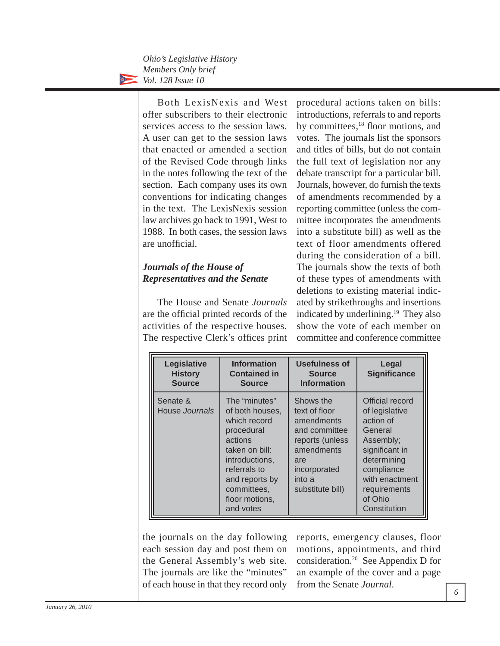> Both LexisNexis and West offer subscribers to their electronic services access to the session laws. A user can get to the session laws that enacted or amended a section of the Revised Code through links in the notes following the text of the section. Each company uses its own conventions for indicating changes in the text. The LexisNexis session law archives go back to 1991, West to 1988. In both cases, the session laws are unofficial.

### *Journals of the House of Representatives and the Senate*

The House and Senate *Journals* are the official printed records of the activities of the respective houses. The respective Clerk's offices print

procedural actions taken on bills: introductions, referrals to and reports by committees,<sup>18</sup> floor motions, and votes. The journals list the sponsors and titles of bills, but do not contain the full text of legislation nor any debate transcript for a particular bill. Journals, however, do furnish the texts of amendments recommended by a reporting committee (unless the committee incorporates the amendments into a substitute bill) as well as the text of floor amendments offered during the consideration of a bill. The journals show the texts of both of these types of amendments with deletions to existing material indicated by strikethroughs and insertions indicated by underlining.19 They also show the vote of each member on committee and conference committee

| Legislative<br><b>History</b><br><b>Source</b> | <b>Information</b><br><b>Contained in</b><br><b>Source</b>                                                                                                                                    | <b>Usefulness of</b><br><b>Source</b><br><b>Information</b>                                                                                     | Legal<br><b>Significance</b>                                                                                                                                                       |
|------------------------------------------------|-----------------------------------------------------------------------------------------------------------------------------------------------------------------------------------------------|-------------------------------------------------------------------------------------------------------------------------------------------------|------------------------------------------------------------------------------------------------------------------------------------------------------------------------------------|
| Senate &<br>House Journals                     | The "minutes"<br>of both houses,<br>which record<br>procedural<br>actions<br>taken on bill:<br>introductions,<br>referrals to<br>and reports by<br>committees,<br>floor motions,<br>and votes | Shows the<br>text of floor<br>amendments<br>and committee<br>reports (unless<br>amendments<br>are<br>incorporated<br>into a<br>substitute bill) | Official record<br>of legislative<br>action of<br>General<br>Assembly;<br>significant in<br>determining<br>compliance<br>with enactment<br>requirements<br>of Ohio<br>Constitution |

the journals on the day following each session day and post them on the General Assembly's web site. The journals are like the "minutes" of each house in that they record only reports, emergency clauses, floor motions, appointments, and third consideration.20 See Appendix D for an example of the cover and a page from the Senate *Journal*.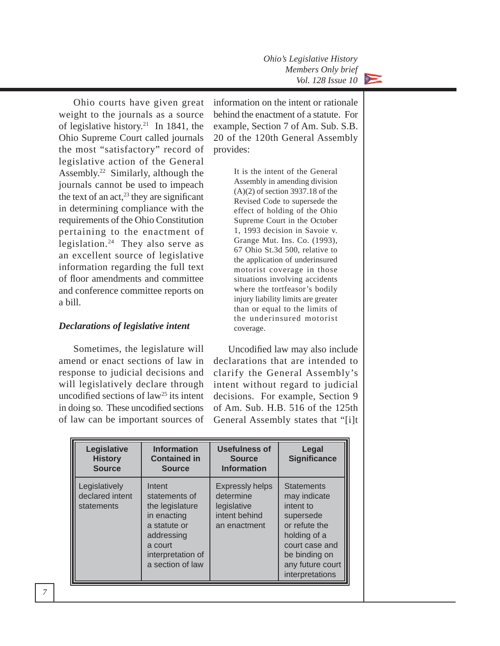

Ohio courts have given great weight to the journals as a source of legislative history.<sup>21</sup> In 1841, the Ohio Supreme Court called journals the most "satisfactory" record of legislative action of the General Assembly.22 Similarly, although the journals cannot be used to impeach the text of an act, $^{23}$  they are significant in determining compliance with the requirements of the Ohio Constitution pertaining to the enactment of legislation.24 They also serve as an excellent source of legislative information regarding the full text of floor amendments and committee and conference committee reports on a bill.

#### *Declarations of legislative intent*

Sometimes, the legislature will amend or enact sections of law in response to judicial decisions and will legislatively declare through uncodified sections of  $law<sup>25</sup>$  its intent in doing so. These uncodified sections of law can be important sources of information on the intent or rationale behind the enactment of a statute. For example, Section 7 of Am. Sub. S.B. 20 of the 120th General Assembly provides:

> It is the intent of the General Assembly in amending division (A)(2) of section 3937.18 of the Revised Code to supersede the effect of holding of the Ohio Supreme Court in the October 1, 1993 decision in Savoie v. Grange Mut. Ins. Co. (1993), 67 Ohio St.3d 500, relative to the application of underinsured motorist coverage in those situations involving accidents where the tortfeasor's bodily injury liability limits are greater than or equal to the limits of the underinsured motorist coverage.

Uncodified law may also include declarations that are intended to clarify the General Assembly's intent without regard to judicial decisions. For example, Section 9 of Am. Sub. H.B. 516 of the 125th General Assembly states that "[i]t

| Legislative<br><b>History</b><br><b>Source</b> | <b>Information</b><br><b>Contained in</b><br><b>Source</b>                                                                                  | <b>Usefulness of</b><br><b>Source</b><br><b>Information</b>                         | Legal<br><b>Significance</b>                                                                                                                                           |
|------------------------------------------------|---------------------------------------------------------------------------------------------------------------------------------------------|-------------------------------------------------------------------------------------|------------------------------------------------------------------------------------------------------------------------------------------------------------------------|
| Legislatively<br>declared intent<br>statements | Intent<br>statements of<br>the legislature<br>in enacting<br>a statute or<br>addressing<br>a court<br>interpretation of<br>a section of law | <b>Expressly helps</b><br>determine<br>legislative<br>intent behind<br>an enactment | <b>Statements</b><br>may indicate<br>intent to<br>supersede<br>or refute the<br>holding of a<br>court case and<br>be binding on<br>any future court<br>interpretations |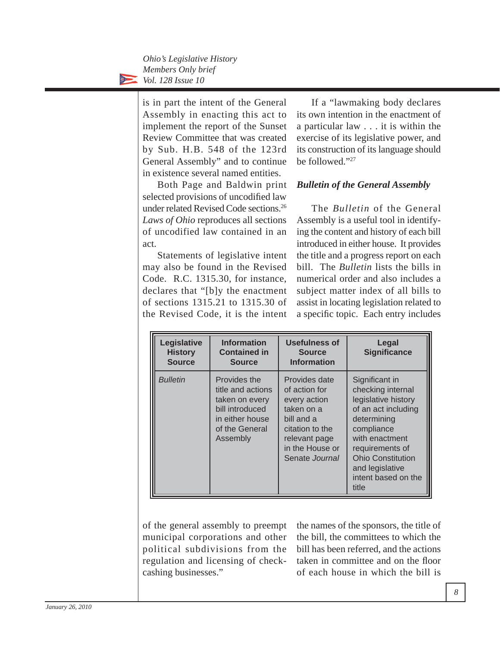> is in part the intent of the General Assembly in enacting this act to implement the report of the Sunset Review Committee that was created by Sub. H.B. 548 of the 123rd General Assembly" and to continue in existence several named entities.

> Both Page and Baldwin print selected provisions of uncodified law under related Revised Code sections.26 *Laws of Ohio* reproduces all sections of uncodified law contained in an act.

> Statements of legislative intent may also be found in the Revised Code. R.C. 1315.30, for instance, declares that "[b]y the enactment of sections 1315.21 to 1315.30 of the Revised Code, it is the intent

If a "lawmaking body declares its own intention in the enactment of a particular law . . . it is within the exercise of its legislative power, and its construction of its language should be followed."27

#### *Bulletin of the General Assembly*

The *Bulletin* of the General Assembly is a useful tool in identifying the content and history of each bill introduced in either house. It provides the title and a progress report on each bill. The *Bulletin* lists the bills in numerical order and also includes a subject matter index of all bills to assist in locating legislation related to a specific topic. Each entry includes

| Legislative<br><b>History</b><br><b>Source</b> | <b>Information</b><br><b>Contained in</b><br><b>Source</b>                                                              | <b>Usefulness of</b><br><b>Source</b><br><b>Information</b>                                                                                         | Legal<br><b>Significance</b>                                                                                                                                                                                                       |
|------------------------------------------------|-------------------------------------------------------------------------------------------------------------------------|-----------------------------------------------------------------------------------------------------------------------------------------------------|------------------------------------------------------------------------------------------------------------------------------------------------------------------------------------------------------------------------------------|
| <b>Bulletin</b>                                | Provides the<br>title and actions<br>taken on every<br>bill introduced<br>in either house<br>of the General<br>Assembly | Provides date<br>of action for<br>every action<br>taken on a<br>bill and a<br>citation to the<br>relevant page<br>in the House or<br>Senate Journal | Significant in<br>checking internal<br>legislative history<br>of an act including<br>determining<br>compliance<br>with enactment<br>requirements of<br><b>Ohio Constitution</b><br>and legislative<br>intent based on the<br>title |

of the general assembly to preempt municipal corporations and other political subdivisions from the regulation and licensing of checkcashing businesses."

the names of the sponsors, the title of the bill, the committees to which the bill has been referred, and the actions taken in committee and on the floor of each house in which the bill is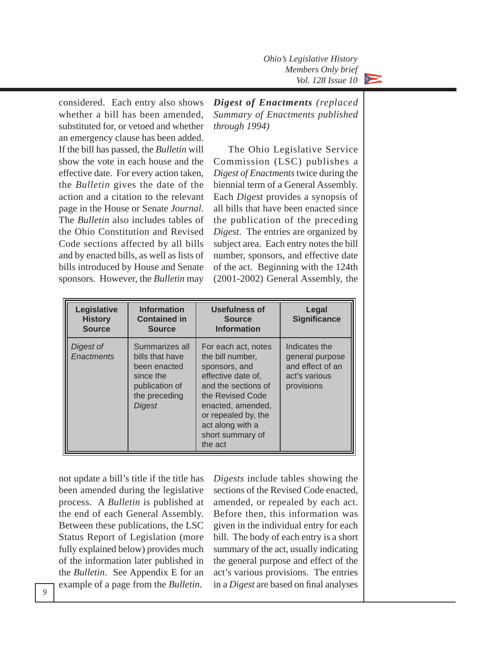

considered. Each entry also shows whether a bill has been amended, substituted for, or vetoed and whether an emergency clause has been added. If the bill has passed, the *Bulletin* will show the vote in each house and the effective date. For every action taken, the *Bulletin* gives the date of the action and a citation to the relevant page in the House or Senate *Journal*. The *Bulletin* also includes tables of the Ohio Constitution and Revised Code sections affected by all bills and by enacted bills, as well as lists of bills introduced by House and Senate sponsors. However, the *Bulletin* may

*Digest of Enactments (replaced Summary of Enactments published through 1994)*

The Ohio Legislative Service Commission (LSC) publishes a *Digest of Enactments* twice during the biennial term of a General Assembly. Each *Digest* provides a synopsis of all bills that have been enacted since the publication of the preceding *Digest*. The entries are organized by subject area. Each entry notes the bill number, sponsors, and effective date of the act. Beginning with the 124th (2001-2002) General Assembly, the

| Legislative<br><b>History</b><br><b>Source</b> | <b>Information</b><br><b>Contained in</b><br><b>Source</b>                                                  | <b>Usefulness of</b><br><b>Source</b><br><b>Information</b>                                                                                                                                                              | Legal<br><b>Significance</b>                                                        |
|------------------------------------------------|-------------------------------------------------------------------------------------------------------------|--------------------------------------------------------------------------------------------------------------------------------------------------------------------------------------------------------------------------|-------------------------------------------------------------------------------------|
| Digest of<br><b>Enactments</b>                 | Summarizes all<br>bills that have<br>been enacted<br>since the<br>publication of<br>the preceding<br>Digest | For each act, notes<br>the bill number,<br>sponsors, and<br>effective date of,<br>and the sections of<br>the Revised Code<br>enacted, amended,<br>or repealed by, the<br>act along with a<br>short summary of<br>the act | Indicates the<br>general purpose<br>and effect of an<br>act's various<br>provisions |

not update a bill's title if the title has been amended during the legislative process. A *Bulletin* is published at the end of each General Assembly. Between these publications, the LSC Status Report of Legislation (more fully explained below) provides much of the information later published in the *Bulletin*. See Appendix E for an example of a page from the *Bulletin*.

*Digests* include tables showing the sections of the Revised Code enacted, amended, or repealed by each act. Before then, this information was given in the individual entry for each bill. The body of each entry is a short summary of the act, usually indicating the general purpose and effect of the act's various provisions. The entries in a *Digest* are based on final analyses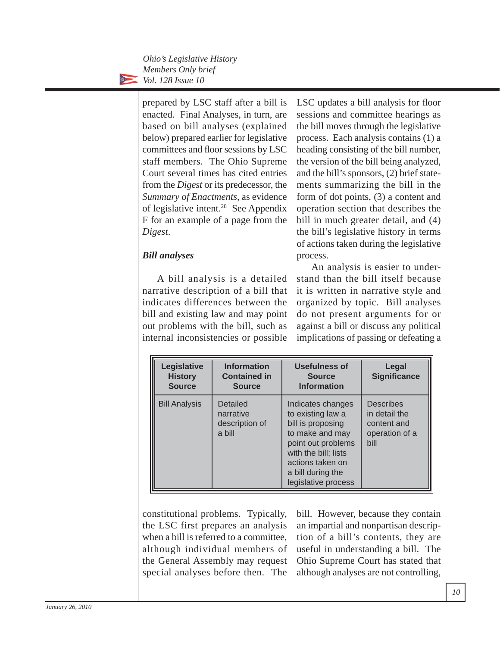> prepared by LSC staff after a bill is enacted. Final Analyses, in turn, are based on bill analyses (explained below) prepared earlier for legislative committees and floor sessions by LSC staff members. The Ohio Supreme Court several times has cited entries from the *Digest* or its predecessor, the *Summary of Enactments*, as evidence of legislative intent.28 See Appendix F for an example of a page from the *Digest*.

#### *Bill analyses*

A bill analysis is a detailed narrative description of a bill that indicates differences between the bill and existing law and may point out problems with the bill, such as internal inconsistencies or possible

LSC updates a bill analysis for floor sessions and committee hearings as the bill moves through the legislative process. Each analysis contains (1) a heading consisting of the bill number, the version of the bill being analyzed, and the bill's sponsors, (2) brief statements summarizing the bill in the form of dot points, (3) a content and operation section that describes the bill in much greater detail, and  $(4)$ the bill's legislative history in terms of actions taken during the legislative process.

An analysis is easier to understand than the bill itself because it is written in narrative style and organized by topic. Bill analyses do not present arguments for or against a bill or discuss any political implications of passing or defeating a

| Legislative<br><b>History</b><br><b>Source</b> | <b>Information</b><br><b>Contained in</b><br><b>Source</b> | <b>Usefulness of</b><br><b>Source</b><br><b>Information</b>                                                                                                                                  | Legal<br><b>Significance</b>                                               |
|------------------------------------------------|------------------------------------------------------------|----------------------------------------------------------------------------------------------------------------------------------------------------------------------------------------------|----------------------------------------------------------------------------|
| <b>Bill Analysis</b>                           | Detailed<br>narrative<br>description of<br>a bill          | Indicates changes<br>to existing law a<br>bill is proposing<br>to make and may<br>point out problems<br>with the bill; lists<br>actions taken on<br>a bill during the<br>legislative process | <b>Describes</b><br>in detail the<br>content and<br>operation of a<br>bill |

constitutional problems. Typically, the LSC first prepares an analysis when a bill is referred to a committee, although individual members of the General Assembly may request special analyses before then. The

bill. However, because they contain an impartial and nonpartisan description of a bill's contents, they are useful in understanding a bill. The Ohio Supreme Court has stated that although analyses are not controlling,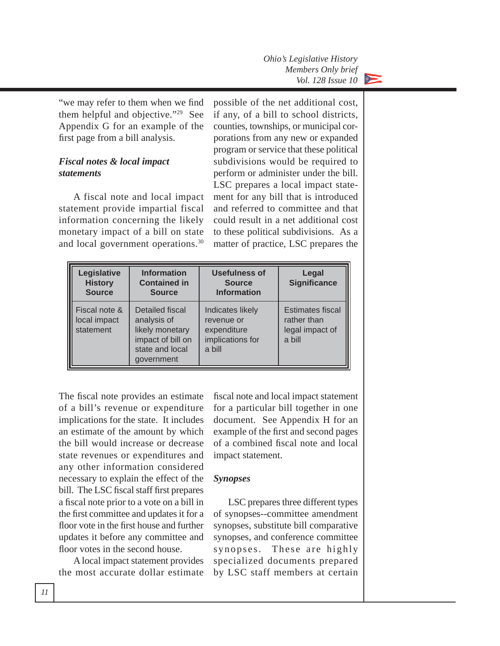

"we may refer to them when we find them helpful and objective."29 See Appendix G for an example of the first page from a bill analysis.

#### *Fiscal notes & local impact statements*

A fiscal note and local impact statement provide impartial fiscal information concerning the likely monetary impact of a bill on state and local government operations.30

possible of the net additional cost, if any, of a bill to school districts, counties, townships, or municipal corporations from any new or expanded program or service that these political subdivisions would be required to perform or administer under the bill. LSC prepares a local impact statement for any bill that is introduced and referred to committee and that could result in a net additional cost to these political subdivisions. As a matter of practice, LSC prepares the

| Legislative<br><b>History</b><br><b>Source</b> | <b>Information</b><br><b>Contained in</b><br><b>Source</b>                                              | <b>Usefulness of</b><br><b>Source</b><br><b>Information</b>                 | Legal<br><b>Significance</b>                                        |
|------------------------------------------------|---------------------------------------------------------------------------------------------------------|-----------------------------------------------------------------------------|---------------------------------------------------------------------|
| Fiscal note &<br>local impact<br>statement     | Detailed fiscal<br>analysis of<br>likely monetary<br>impact of bill on<br>state and local<br>government | Indicates likely<br>revenue or<br>expenditure<br>implications for<br>a bill | <b>Estimates fiscal</b><br>rather than<br>legal impact of<br>a bill |

The fiscal note provides an estimate of a bill's revenue or expenditure implications for the state. It includes an estimate of the amount by which the bill would increase or decrease state revenues or expenditures and any other information considered necessary to explain the effect of the bill. The LSC fiscal staff first prepares a fiscal note prior to a vote on a bill in the first committee and updates it for a floor vote in the first house and further updates it before any committee and floor votes in the second house.

A local impact statement provides the most accurate dollar estimate fiscal note and local impact statement for a particular bill together in one document. See Appendix H for an example of the first and second pages of a combined fiscal note and local impact statement.

#### *Synopses*

LSC prepares three different types of synopses--committee amendment synopses, substitute bill comparative synopses, and conference committee synopses. These are highly specialized documents prepared by LSC staff members at certain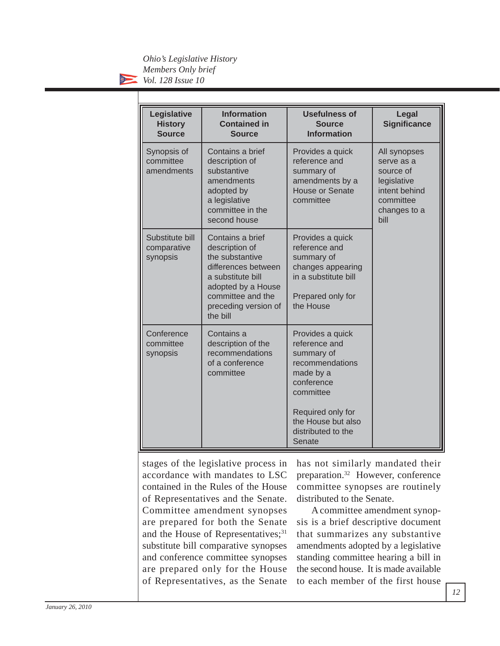$\sum$ 

| Legislative<br><b>History</b><br><b>Source</b> | <b>Information</b><br><b>Contained in</b><br><b>Source</b>                                                                                                                       | <b>Usefulness of</b><br><b>Source</b><br><b>Information</b>                                                                                                                           | Legal<br><b>Significance</b>                                                                                 |
|------------------------------------------------|----------------------------------------------------------------------------------------------------------------------------------------------------------------------------------|---------------------------------------------------------------------------------------------------------------------------------------------------------------------------------------|--------------------------------------------------------------------------------------------------------------|
| Synopsis of<br>committee<br>amendments         | Contains a brief<br>description of<br>substantive<br>amendments<br>adopted by<br>a legislative<br>committee in the<br>second house                                               | Provides a quick<br>reference and<br>summary of<br>amendments by a<br><b>House or Senate</b><br>committee                                                                             | All synopses<br>serve as a<br>source of<br>legislative<br>intent behind<br>committee<br>changes to a<br>bill |
| Substitute bill<br>comparative<br>synopsis     | Contains a brief<br>description of<br>the substantive<br>differences between<br>a substitute bill<br>adopted by a House<br>committee and the<br>preceding version of<br>the bill | Provides a quick<br>reference and<br>summary of<br>changes appearing<br>in a substitute bill<br>Prepared only for<br>the House                                                        |                                                                                                              |
| Conference<br>committee<br>synopsis            | Contains a<br>description of the<br>recommendations<br>of a conference<br>committee                                                                                              | Provides a quick<br>reference and<br>summary of<br>recommendations<br>made by a<br>conference<br>committee<br>Required only for<br>the House but also<br>distributed to the<br>Senate |                                                                                                              |

stages of the legislative process in accordance with mandates to LSC contained in the Rules of the House of Representatives and the Senate. Committee amendment synopses are prepared for both the Senate and the House of Representatives;<sup>31</sup> substitute bill comparative synopses and conference committee synopses are prepared only for the House of Representatives, as the Senate

has not similarly mandated their preparation.32 However, conference committee synopses are routinely distributed to the Senate.

A committee amendment synopsis is a brief descriptive document that summarizes any substantive amendments adopted by a legislative standing committee hearing a bill in the second house. It is made available to each member of the first house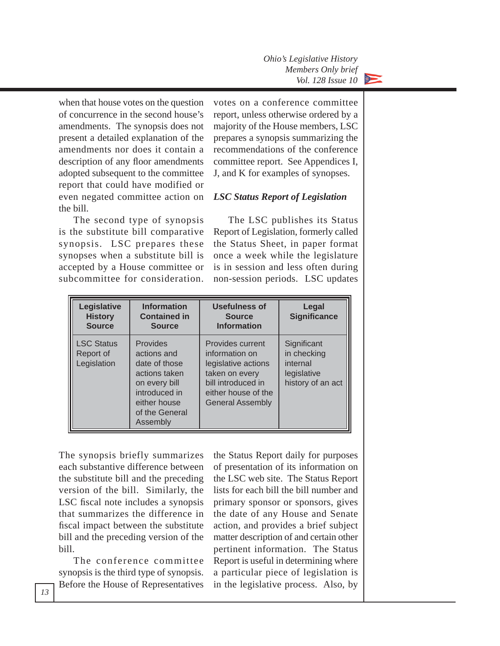

when that house votes on the question of concurrence in the second house's amendments. The synopsis does not present a detailed explanation of the amendments nor does it contain a description of any floor amendments adopted subsequent to the committee report that could have modified or even negated committee action on the bill.

The second type of synopsis is the substitute bill comparative synopsis. LSC prepares these synopses when a substitute bill is accepted by a House committee or subcommittee for consideration.

votes on a conference committee report, unless otherwise ordered by a majority of the House members, LSC prepares a synopsis summarizing the recommendations of the conference committee report. See Appendices I, J, and K for examples of synopses.

#### *LSC Status Report of Legislation*

The LSC publishes its Status Report of Legislation, formerly called the Status Sheet, in paper format once a week while the legislature is in session and less often during non-session periods. LSC updates

| Legislative<br><b>History</b><br><b>Source</b> | <b>Information</b><br><b>Contained in</b><br><b>Source</b>                                                                                | <b>Usefulness of</b><br><b>Source</b><br><b>Information</b>                                                                                         | Legal<br><b>Significance</b>                                               |
|------------------------------------------------|-------------------------------------------------------------------------------------------------------------------------------------------|-----------------------------------------------------------------------------------------------------------------------------------------------------|----------------------------------------------------------------------------|
| <b>LSC Status</b><br>Report of<br>Legislation  | Provides<br>actions and<br>date of those<br>actions taken<br>on every bill<br>introduced in<br>either house<br>of the General<br>Assembly | Provides current<br>information on<br>legislative actions<br>taken on every<br>bill introduced in<br>either house of the<br><b>General Assembly</b> | Significant<br>in checking<br>internal<br>legislative<br>history of an act |

The synopsis briefly summarizes each substantive difference between the substitute bill and the preceding version of the bill. Similarly, the LSC fiscal note includes a synopsis that summarizes the difference in fiscal impact between the substitute bill and the preceding version of the bill.

The conference committee synopsis is the third type of synopsis. Before the House of Representatives

the Status Report daily for purposes of presentation of its information on the LSC web site. The Status Report lists for each bill the bill number and primary sponsor or sponsors, gives the date of any House and Senate action, and provides a brief subject matter description of and certain other pertinent information. The Status Report is useful in determining where a particular piece of legislation is in the legislative process. Also, by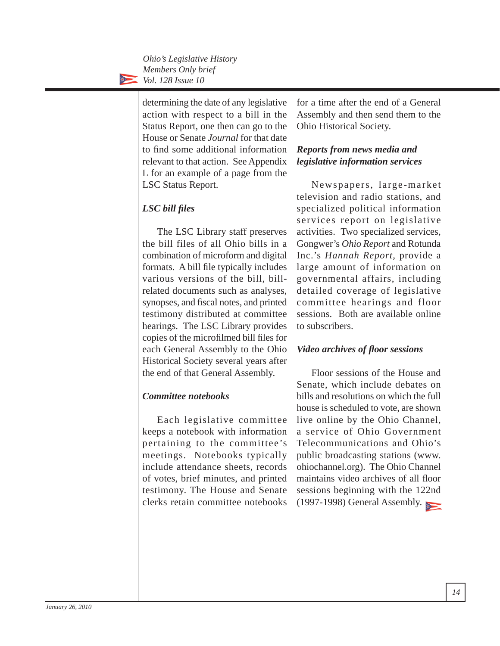determining the date of any legislative action with respect to a bill in the Status Report, one then can go to the House or Senate *Journal* for that date to find some additional information relevant to that action. See Appendix L for an example of a page from the LSC Status Report.

### *LSC bill fi les*

The LSC Library staff preserves the bill files of all Ohio bills in a combination of microform and digital formats. A bill file typically includes various versions of the bill, billrelated documents such as analyses, synopses, and fiscal notes, and printed testimony distributed at committee hearings. The LSC Library provides copies of the microfilmed bill files for each General Assembly to the Ohio Historical Society several years after the end of that General Assembly.

#### *Committee notebooks*

Each legislative committee keeps a notebook with information pertaining to the committee's meetings. Notebooks typically include attendance sheets, records of votes, brief minutes, and printed testimony. The House and Senate clerks retain committee notebooks

for a time after the end of a General Assembly and then send them to the Ohio Historical Society.

#### *Reports from news media and legislative information services*

Newspapers, large-market television and radio stations, and specialized political information services report on legislative activities. Two specialized services, Gongwer's *Ohio Report* and Rotunda Inc.'s *Hannah Report*, provide a large amount of information on governmental affairs, including detailed coverage of legislative committee hearings and floor sessions. Both are available online to subscribers.

#### *Video archives of fl oor sessions*

Floor sessions of the House and Senate, which include debates on bills and resolutions on which the full house is scheduled to vote, are shown live online by the Ohio Channel, a service of Ohio Government Telecommunications and Ohio's public broadcasting stations (www. ohiochannel.org). The Ohio Channel maintains video archives of all floor sessions beginning with the 122nd (1997-1998) General Assembly.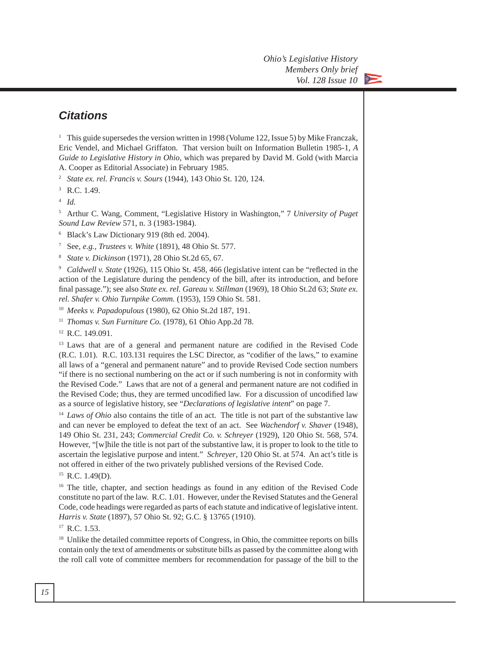

# *Citations*

<sup>1</sup> This guide supersedes the version written in 1998 (Volume 122, Issue 5) by Mike Franczak, Eric Vendel, and Michael Griffaton. That version built on Information Bulletin 1985-1, *A Guide to Legislative History in Ohio*, which was prepared by David M. Gold (with Marcia A. Cooper as Editorial Associate) in February 1985.

<sup>2</sup> *State ex. rel. Francis v. Sours* (1944), 143 Ohio St. 120, 124.

 $^3$  R.C. 1.49.

<sup>4</sup> *Id.*

5 Arthur C. Wang, Comment, "Legislative History in Washington," 7 *University of Puget Sound Law Review* 571, n. 3 (1983-1984).

6 Black's Law Dictionary 919 (8th ed. 2004).

7 See, *e.g., Trustees v. White* (1891), 48 Ohio St. 577.

<sup>8</sup> *State v. Dickinson* (1971), 28 Ohio St.2d 65, 67.

<sup>9</sup> *Caldwell v. State* (1926), 115 Ohio St. 458, 466 (legislative intent can be "reflected in the action of the Legislature during the pendency of the bill, after its introduction, and before final passage."); see also *State ex. rel. Gareau v. Stillman* (1969), 18 Ohio St.2d 63; *State ex. rel. Shafer v. Ohio Turnpike Comm.* (1953), 159 Ohio St. 581.

<sup>10</sup> *Meeks v. Papadopulous* (1980), 62 Ohio St.2d 187, 191.

<sup>11</sup> *Thomas v. Sun Furniture Co.* (1978), 61 Ohio App.2d 78.

<sup>12</sup> R.C. 149.091.

<sup>13</sup> Laws that are of a general and permanent nature are codified in the Revised Code  $(R.C. 1.01)$ . R.C. 103.131 requires the LSC Director, as "codifier of the laws," to examine all laws of a "general and permanent nature" and to provide Revised Code section numbers "if there is no sectional numbering on the act or if such numbering is not in conformity with the Revised Code." Laws that are not of a general and permanent nature are not codified in the Revised Code; thus, they are termed uncodified law. For a discussion of uncodified law as a source of legislative history, see "*Declarations of legislative intent*" on page 7.

<sup>14</sup> *Laws of Ohio* also contains the title of an act. The title is not part of the substantive law and can never be employed to defeat the text of an act. See *Wachendorf v. Shaver* (1948), 149 Ohio St. 231, 243; *Commercial Credit Co. v. Schreyer* (1929), 120 Ohio St. 568, 574. However, "[w]hile the title is not part of the substantive law, it is proper to look to the title to ascertain the legislative purpose and intent." *Schreyer*, 120 Ohio St. at 574. An act's title is not offered in either of the two privately published versions of the Revised Code.

 $15$  R.C. 1.49(D).

<sup>16</sup> The title, chapter, and section headings as found in any edition of the Revised Code constitute no part of the law. R.C. 1.01. However, under the Revised Statutes and the General Code, code headings were regarded as parts of each statute and indicative of legislative intent. *Harris v. State* (1897), 57 Ohio St. 92; G.C. § 13765 (1910).

 $17$  R.C. 1.53.

<sup>18</sup> Unlike the detailed committee reports of Congress, in Ohio, the committee reports on bills contain only the text of amendments or substitute bills as passed by the committee along with the roll call vote of committee members for recommendation for passage of the bill to the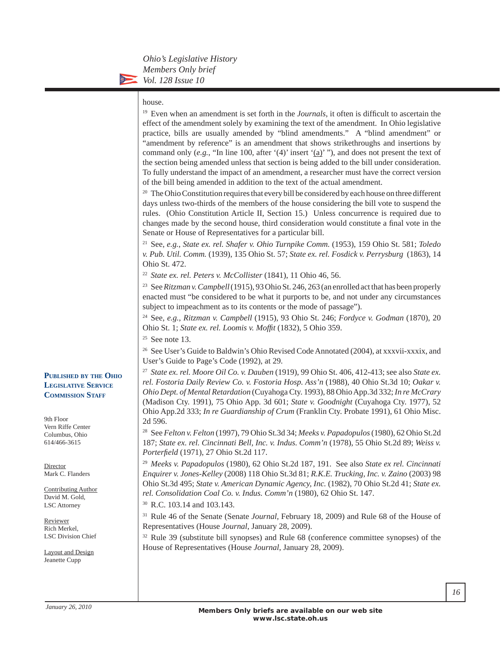#### house.

<sup>19</sup> Even when an amendment is set forth in the *Journals*, it often is difficult to ascertain the effect of the amendment solely by examining the text of the amendment. In Ohio legislative practice, bills are usually amended by "blind amendments." A "blind amendment" or "amendment by reference" is an amendment that shows strikethroughs and insertions by command only  $(e.g., "In line 100, after '(4)" insert '(a)'"),$  and does not present the text of the section being amended unless that section is being added to the bill under consideration. To fully understand the impact of an amendment, a researcher must have the correct version of the bill being amended in addition to the text of the actual amendment.

<sup>20</sup> The Ohio Constitution requires that every bill be considered by each house on three different days unless two-thirds of the members of the house considering the bill vote to suspend the rules. (Ohio Constitution Article II, Section 15.) Unless concurrence is required due to changes made by the second house, third consideration would constitute a final vote in the Senate or House of Representatives for a particular bill.

21 See, *e.g.*, *State ex. rel. Shafer v. Ohio Turnpike Comm.* (1953), 159 Ohio St. 581; *Toledo v. Pub. Util. Comm.* (1939), 135 Ohio St. 57; *State ex. rel. Fosdick v. Perrysburg* (1863), 14 Ohio St. 472.

<sup>22</sup> *State ex. rel. Peters v. McCollister* (1841), 11 Ohio 46, 56.

23 See *Ritzman v. Campbell* (1915), 93 Ohio St. 246, 263 (an enrolled act that has been properly enacted must "be considered to be what it purports to be, and not under any circumstances subject to impeachment as to its contents or the mode of passage").

24 See, *e.g.*, *Ritzman v. Campbell* (1915), 93 Ohio St. 246; *Fordyce v. Godman* (1870), 20 Ohio St. 1; *State ex. rel. Loomis v. Moffi t* (1832), 5 Ohio 359.

 $25$  See note 13.

26 See User's Guide to Baldwin's Ohio Revised Code Annotated (2004), at xxxvii-xxxix, and User's Guide to Page's Code (1992), at 29.

<sup>27</sup> *State ex. rel. Moore Oil Co. v. Dauben* (1919), 99 Ohio St. 406, 412-413; see also *State ex. rel. Fostoria Daily Review Co. v. Fostoria Hosp. Ass'n* (1988), 40 Ohio St.3d 10; *Oakar v. Ohio Dept. of Mental Retardation* (Cuyahoga Cty. 1993), 88 Ohio App.3d 332; *In re McCrary* (Madison Cty. 1991), 75 Ohio App. 3d 601; *State v. Goodnight* (Cuyahoga Cty. 1977), 52 Ohio App.2d 333; *In re Guardianship of Crum* (Franklin Cty. Probate 1991), 61 Ohio Misc. 2d 596.

28 See *Felton v. Felton* (1997), 79 Ohio St.3d 34; *Meeks v. Papadopulos* (1980), 62 Ohio St.2d 187; *State ex. rel. Cincinnati Bell, Inc. v. Indus. Comm'n* (1978), 55 Ohio St.2d 89; *Weiss v. Porterfi eld* (1971), 27 Ohio St.2d 117.

<sup>29</sup> *Meeks v. Papadopulos* (1980), 62 Ohio St.2d 187, 191. See also *State ex rel. Cincinnati Enquirer v. Jones-Kelley* (2008) 118 Ohio St.3d 81; *R.K.E. Trucking, Inc. v. Zaino* (2003) 98 Ohio St.3d 495; *State v. American Dynamic Agency, Inc.* (1982), 70 Ohio St.2d 41; *State ex. rel. Consolidation Coal Co. v. Indus. Comm'n* (1980), 62 Ohio St. 147.

30 R.C. 103.14 and 103.143.

31 Rule 46 of the Senate (Senate *Journal*, February 18, 2009) and Rule 68 of the House of Representatives (House *Journal*, January 28, 2009).

32 Rule 39 (substitute bill synopses) and Rule 68 (conference committee synopses) of the House of Representatives (House *Journal*, January 28, 2009).

#### **PUBLISHED BY THE OHIO LEGISLATIVE SERVICE COMMISSION STAFF**

9th Floor Vern Riffe Center Columbus, Ohio 614/466-3615

**Director** Mark C. Flanders

Contributing Author David M. Gold, LSC Attorney

Reviewer Rich Merkel, LSC Division Chief

Layout and Design Jeanette Cupp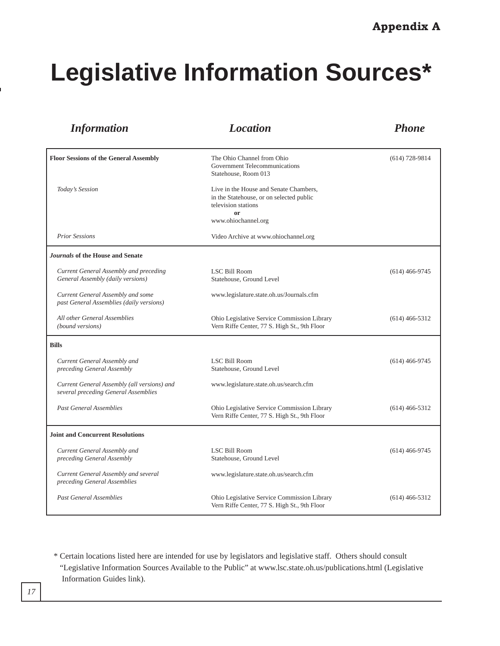# **Legislative Information Sources\***

| <b>Information</b>                                                                  | <b>Location</b>                                                                                                                        | <b>Phone</b>       |
|-------------------------------------------------------------------------------------|----------------------------------------------------------------------------------------------------------------------------------------|--------------------|
| <b>Floor Sessions of the General Assembly</b>                                       | The Ohio Channel from Ohio<br>Government Telecommunications<br>Statehouse, Room 013                                                    | $(614) 728 - 9814$ |
| Today's Session                                                                     | Live in the House and Senate Chambers,<br>in the Statehouse, or on selected public<br>television stations<br>or<br>www.ohiochannel.org |                    |
| <b>Prior Sessions</b>                                                               | Video Archive at www.ohiochannel.org                                                                                                   |                    |
| Journals of the House and Senate                                                    |                                                                                                                                        |                    |
| Current General Assembly and preceding<br>General Assembly (daily versions)         | <b>LSC Bill Room</b><br>Statehouse, Ground Level                                                                                       | $(614)$ 466-9745   |
| Current General Assembly and some<br>past General Assemblies (daily versions)       | www.legislature.state.oh.us/Journals.cfm                                                                                               |                    |
| All other General Assemblies<br>(bound versions)                                    | Ohio Legislative Service Commission Library<br>Vern Riffe Center, 77 S. High St., 9th Floor                                            | $(614)$ 466-5312   |
| <b>Bills</b>                                                                        |                                                                                                                                        |                    |
| Current General Assembly and<br>preceding General Assembly                          | <b>LSC Bill Room</b><br>Statehouse, Ground Level                                                                                       | $(614)$ 466-9745   |
| Current General Assembly (all versions) and<br>several preceding General Assemblies | www.legislature.state.oh.us/search.cfm                                                                                                 |                    |
| <b>Past General Assemblies</b>                                                      | Ohio Legislative Service Commission Library<br>Vern Riffe Center, 77 S. High St., 9th Floor                                            | $(614)$ 466-5312   |
| <b>Joint and Concurrent Resolutions</b>                                             |                                                                                                                                        |                    |
| Current General Assembly and<br>preceding General Assembly                          | LSC Bill Room<br>Statehouse, Ground Level                                                                                              | $(614)$ 466-9745   |
| Current General Assembly and several<br>preceding General Assemblies                | www.legislature.state.oh.us/search.cfm                                                                                                 |                    |
| <b>Past General Assemblies</b>                                                      | Ohio Legislative Service Commission Library<br>Vern Riffe Center, 77 S. High St., 9th Floor                                            | $(614)$ 466-5312   |

\* Certain locations listed here are intended for use by legislators and legislative staff. Others should consult "Legislative Information Sources Available to the Public" at www.lsc.state.oh.us/publications.html (Legislative Information Guides link).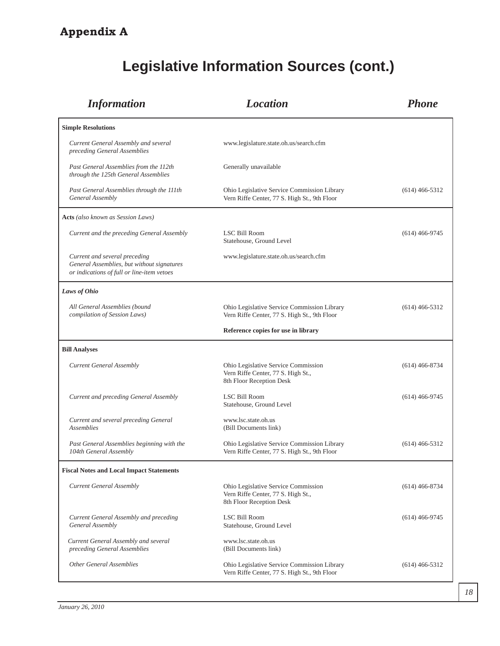# **Appendix A**

| <b>Information</b>                                                                                                        | <b>Location</b>                                                                                       | <b>Phone</b>     |
|---------------------------------------------------------------------------------------------------------------------------|-------------------------------------------------------------------------------------------------------|------------------|
| <b>Simple Resolutions</b>                                                                                                 |                                                                                                       |                  |
| Current General Assembly and several<br>preceding General Assemblies                                                      | www.legislature.state.oh.us/search.cfm                                                                |                  |
| Past General Assemblies from the 112th<br>through the 125th General Assemblies                                            | Generally unavailable                                                                                 |                  |
| Past General Assemblies through the 111th<br>General Assembly                                                             | Ohio Legislative Service Commission Library<br>Vern Riffe Center, 77 S. High St., 9th Floor           | $(614)$ 466-5312 |
| Acts (also known as Session Laws)                                                                                         |                                                                                                       |                  |
| Current and the preceding General Assembly                                                                                | LSC Bill Room<br>Statehouse, Ground Level                                                             | $(614)$ 466-9745 |
| Current and several preceding<br>General Assemblies, but without signatures<br>or indications of full or line-item vetoes | www.legislature.state.oh.us/search.cfm                                                                |                  |
| Laws of Ohio                                                                                                              |                                                                                                       |                  |
| All General Assemblies (bound<br>compilation of Session Laws)                                                             | Ohio Legislative Service Commission Library<br>Vern Riffe Center, 77 S. High St., 9th Floor           | $(614)$ 466-5312 |
|                                                                                                                           | Reference copies for use in library                                                                   |                  |
| <b>Bill Analyses</b>                                                                                                      |                                                                                                       |                  |
| <b>Current General Assembly</b>                                                                                           | Ohio Legislative Service Commission<br>Vern Riffe Center, 77 S. High St.,<br>8th Floor Reception Desk | $(614)$ 466-8734 |
| Current and preceding General Assembly                                                                                    | LSC Bill Room<br>Statehouse, Ground Level                                                             | $(614)$ 466-9745 |
| Current and several preceding General<br><b>Assemblies</b>                                                                | www.lsc.state.oh.us<br>(Bill Documents link)                                                          |                  |
| Past General Assemblies beginning with the<br>104th General Assembly                                                      | Ohio Legislative Service Commission Library<br>Vern Riffe Center, 77 S. High St., 9th Floor           | $(614)$ 466-5312 |
| <b>Fiscal Notes and Local Impact Statements</b>                                                                           |                                                                                                       |                  |
| <b>Current General Assembly</b>                                                                                           | Ohio Legislative Service Commission<br>Vern Riffe Center, 77 S. High St.,<br>8th Floor Reception Desk | $(614)$ 466-8734 |
| Current General Assembly and preceding<br>General Assembly                                                                | LSC Bill Room<br>Statehouse, Ground Level                                                             | $(614)$ 466-9745 |
| Current General Assembly and several<br>preceding General Assemblies                                                      | www.lsc.state.oh.us<br>(Bill Documents link)                                                          |                  |
| <b>Other General Assemblies</b>                                                                                           | Ohio Legislative Service Commission Library<br>Vern Riffe Center, 77 S. High St., 9th Floor           | $(614)$ 466-5312 |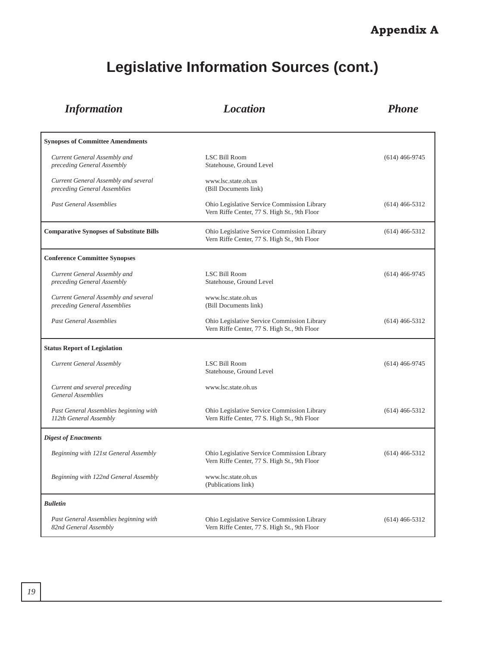| <b>Information</b>                                                   | <b>Location</b>                                                                             | <b>Phone</b>     |
|----------------------------------------------------------------------|---------------------------------------------------------------------------------------------|------------------|
| <b>Synopses of Committee Amendments</b>                              |                                                                                             |                  |
| Current General Assembly and<br>preceding General Assembly           | <b>LSC Bill Room</b><br>Statehouse, Ground Level                                            | $(614)$ 466-9745 |
| Current General Assembly and several<br>preceding General Assemblies | www.lsc.state.oh.us<br>(Bill Documents link)                                                |                  |
| <b>Past General Assemblies</b>                                       | Ohio Legislative Service Commission Library<br>Vern Riffe Center, 77 S. High St., 9th Floor | $(614)$ 466-5312 |
| <b>Comparative Synopses of Substitute Bills</b>                      | Ohio Legislative Service Commission Library<br>Vern Riffe Center, 77 S. High St., 9th Floor | $(614)$ 466-5312 |
| <b>Conference Committee Synopses</b>                                 |                                                                                             |                  |
| Current General Assembly and<br>preceding General Assembly           | <b>LSC Bill Room</b><br>Statehouse, Ground Level                                            | $(614)$ 466-9745 |
| Current General Assembly and several<br>preceding General Assemblies | www.lsc.state.oh.us<br>(Bill Documents link)                                                |                  |
| <b>Past General Assemblies</b>                                       | Ohio Legislative Service Commission Library<br>Vern Riffe Center, 77 S. High St., 9th Floor | $(614)$ 466-5312 |
| <b>Status Report of Legislation</b>                                  |                                                                                             |                  |
| <b>Current General Assembly</b>                                      | LSC Bill Room<br>Statehouse, Ground Level                                                   | $(614)$ 466-9745 |
| Current and several preceding<br><b>General Assemblies</b>           | www.lsc.state.oh.us                                                                         |                  |
| Past General Assemblies beginning with<br>112th General Assembly     | Ohio Legislative Service Commission Library<br>Vern Riffe Center, 77 S. High St., 9th Floor | $(614)$ 466-5312 |
| <b>Digest of Enactments</b>                                          |                                                                                             |                  |
| Beginning with 121st General Assembly                                | Ohio Legislative Service Commission Library<br>Vern Riffe Center, 77 S. High St., 9th Floor | $(614)$ 466-5312 |
| Beginning with 122nd General Assembly                                | www.lsc.state.oh.us<br>(Publications link)                                                  |                  |
| <b>Bulletin</b>                                                      |                                                                                             |                  |
| Past General Assemblies beginning with<br>82nd General Assembly      | Ohio Legislative Service Commission Library<br>Vern Riffe Center, 77 S. High St., 9th Floor | $(614)$ 466-5312 |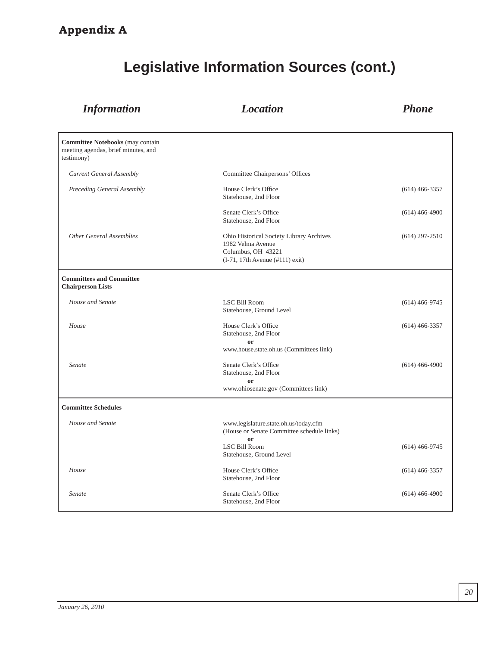# **Appendix A**

| <b>Information</b>                                                                           | <b>Location</b>                                                                                                                        | <b>Phone</b>     |
|----------------------------------------------------------------------------------------------|----------------------------------------------------------------------------------------------------------------------------------------|------------------|
| <b>Committee Notebooks</b> (may contain<br>meeting agendas, brief minutes, and<br>testimony) |                                                                                                                                        |                  |
| <b>Current General Assembly</b>                                                              | Committee Chairpersons' Offices                                                                                                        |                  |
| Preceding General Assembly                                                                   | House Clerk's Office<br>Statehouse, 2nd Floor                                                                                          | $(614)$ 466-3357 |
|                                                                                              | Senate Clerk's Office<br>Statehouse, 2nd Floor                                                                                         | $(614)$ 466-4900 |
| <b>Other General Assemblies</b>                                                              | Ohio Historical Society Library Archives<br>1982 Velma Avenue<br>Columbus, OH 43221<br>$(I-71, 17th$ Avenue $(\#111)$ exit)            | $(614)$ 297-2510 |
| <b>Committees and Committee</b><br><b>Chairperson Lists</b>                                  |                                                                                                                                        |                  |
| House and Senate                                                                             | <b>LSC Bill Room</b><br>Statehouse, Ground Level                                                                                       | $(614)$ 466-9745 |
| House                                                                                        | House Clerk's Office<br>Statehouse, 2nd Floor<br>or<br>www.house.state.oh.us (Committees link)                                         | $(614)$ 466-3357 |
| Senate                                                                                       | Senate Clerk's Office<br>Statehouse, 2nd Floor<br>or<br>www.ohiosenate.gov (Committees link)                                           | $(614)$ 466-4900 |
| <b>Committee Schedules</b>                                                                   |                                                                                                                                        |                  |
| House and Senate                                                                             | www.legislature.state.oh.us/today.cfm<br>(House or Senate Committee schedule links)<br>or<br>LSC Bill Room<br>Statehouse, Ground Level | $(614)$ 466-9745 |
| House                                                                                        | House Clerk's Office<br>Statehouse, 2nd Floor                                                                                          | $(614)$ 466-3357 |
| Senate                                                                                       | Senate Clerk's Office<br>Statehouse, 2nd Floor                                                                                         | $(614)$ 466-4900 |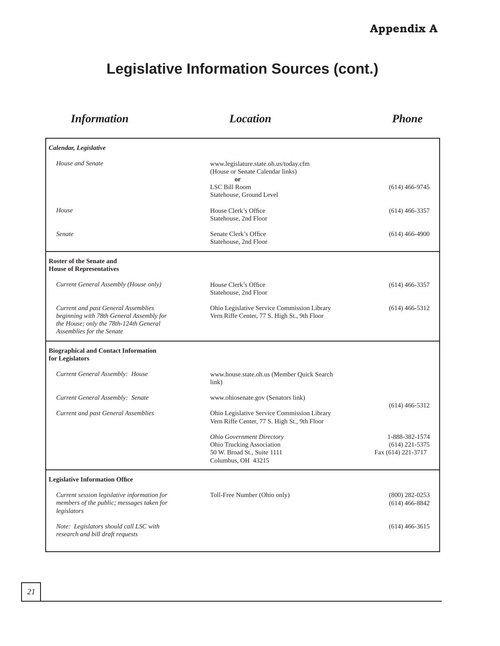| <b>Information</b>                                                                                                                                     | <b>Location</b>                                                                                                    | <b>Phone</b>                                             |
|--------------------------------------------------------------------------------------------------------------------------------------------------------|--------------------------------------------------------------------------------------------------------------------|----------------------------------------------------------|
| Calendar, Legislative                                                                                                                                  |                                                                                                                    |                                                          |
| House and Senate                                                                                                                                       | www.legislature.state.oh.us/today.cfm<br>(House or Senate Calendar links)<br>or                                    |                                                          |
|                                                                                                                                                        | <b>LSC Bill Room</b><br>Statehouse, Ground Level                                                                   | $(614)$ 466-9745                                         |
| House                                                                                                                                                  | House Clerk's Office<br>Statehouse, 2nd Floor                                                                      | $(614)$ 466-3357                                         |
| Senate                                                                                                                                                 | Senate Clerk's Office<br>Statehouse, 2nd Floor                                                                     | $(614)$ 466-4900                                         |
| <b>Roster of the Senate and</b><br><b>House of Representatives</b>                                                                                     |                                                                                                                    |                                                          |
| Current General Assembly (House only)                                                                                                                  | House Clerk's Office<br>Statehouse, 2nd Floor                                                                      | $(614)$ 466-3357                                         |
| Current and past General Assemblies<br>beginning with 78th General Assembly for<br>the House; only the 78th-124th General<br>Assemblies for the Senate | Ohio Legislative Service Commission Library<br>Vern Riffe Center, 77 S. High St., 9th Floor                        | $(614)$ 466-5312                                         |
| <b>Biographical and Contact Information</b><br>for Legislators                                                                                         |                                                                                                                    |                                                          |
| Current General Assembly: House                                                                                                                        | www.house.state.oh.us (Member Quick Search<br>link)                                                                |                                                          |
| Current General Assembly: Senate                                                                                                                       | www.ohiosenate.gov (Senators link)                                                                                 |                                                          |
| Current and past General Assemblies                                                                                                                    | Ohio Legislative Service Commission Library<br>Vern Riffe Center, 77 S. High St., 9th Floor                        | $(614)$ 466-5312                                         |
|                                                                                                                                                        | <b>Ohio Government Directory</b><br>Ohio Trucking Association<br>50 W. Broad St., Suite 1111<br>Columbus, OH 43215 | 1-888-382-1574<br>$(614)$ 221-5375<br>Fax (614) 221-3717 |
| <b>Legislative Information Office</b>                                                                                                                  |                                                                                                                    |                                                          |
| Current session legislative information for<br>members of the public; messages taken for<br>legislators                                                | Toll-Free Number (Ohio only)                                                                                       | $(800)$ 282-0253<br>$(614)$ 466-8842                     |
| Note: Legislators should call LSC with<br>research and bill draft requests                                                                             |                                                                                                                    | $(614)$ 466-3615                                         |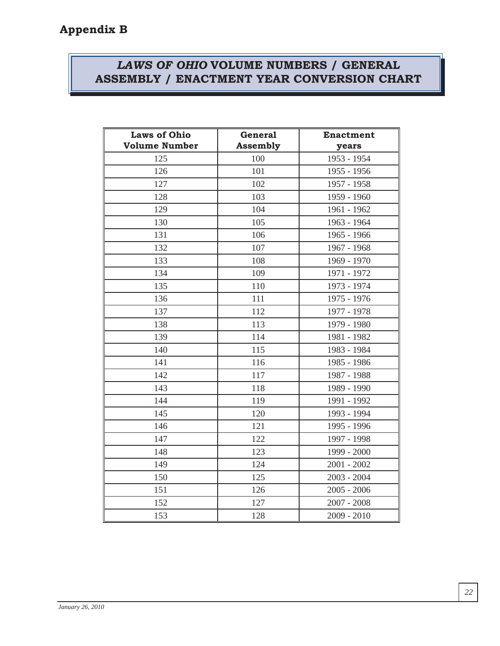# *LAWS OF OHIO* **VOLUME NUMBERS / GENERAL ASSEMBLY / ENACTMENT YEAR CONVERSION CHART**

| <b>Laws of Ohio</b>  | <b>General</b>  | <b>Enactment</b> |
|----------------------|-----------------|------------------|
| <b>Volume Number</b> | <b>Assembly</b> | years            |
| 125                  | 100             | 1953 - 1954      |
| 126                  | 101             | 1955 - 1956      |
| 127                  | 102             | 1957 - 1958      |
| 128                  | 103             | 1959 - 1960      |
| 129                  | 104             | 1961 - 1962      |
| 130                  | 105             | 1963 - 1964      |
| 131                  | 106             | 1965 - 1966      |
| 132                  | 107             | 1967 - 1968      |
| 133                  | 108             | 1969 - 1970      |
| 134                  | 109             | 1971 - 1972      |
| 135                  | 110             | 1973 - 1974      |
| 136                  | 111             | 1975 - 1976      |
| 137                  | 112             | 1977 - 1978      |
| 138                  | 113             | 1979 - 1980      |
| 139                  | 114             | 1981 - 1982      |
| 140                  | 115             | 1983 - 1984      |
| 141                  | 116             | 1985 - 1986      |
| 142                  | 117             | 1987 - 1988      |
| 143                  | 118             | 1989 - 1990      |
| 144                  | 119             | 1991 - 1992      |
| 145                  | 120             | 1993 - 1994      |
| 146                  | 121             | 1995 - 1996      |
| 147                  | 122             | 1997 - 1998      |
| 148                  | 123             | 1999 - 2000      |
| 149                  | 124             | $2001 - 2002$    |
| 150                  | 125             | $2003 - 2004$    |
| 151                  | 126             | $2005 - 2006$    |
| 152                  | 127             | $2007 - 2008$    |
| 153                  | 128             | $2009 - 2010$    |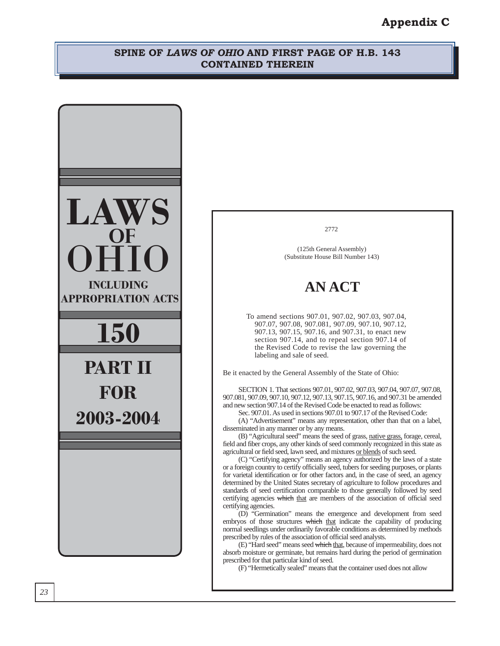# **Appendix C**

#### **SPINE OF** *LAWS OF OHIO* **AND FIRST PAGE OF H.B. 143 CONTAINED THEREIN**

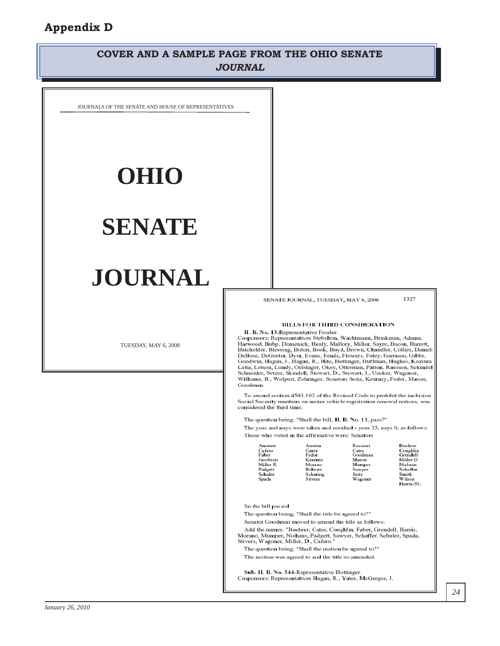# **COVER AND A SAMPLE PAGE FROM THE OHIO SENATE** *JOURNAL*

JOURNALS OF THE SENATE AND HOUSE OF REPRESENTATIVES

# **OHIO**

# **SENATE**

# **JOURNAL**

TUESDAY, MAY 6, 2008

SENATE JOURNAL, TUESDAY, MAY 6, 2008

1327

#### BILLS FOR THIRD CONSIDERATION

H. B. No. 13-Representative Fessler. Cosponsors: Representatives Stebelton, Wachtmann, Brinkman, Adams, Harwood, Bubp, Domenick, Healy, Mallory, Miller, Sayre, Bacon, Barrett, Batchelder, Blessing, Bolon, Book, Boyd, Brown, Chandler, Collier, Daniel DeBose, DeGeeter, Dyer, Evans, Fende, Flowers, Foley, Garrison, Gibbs, Goodwin, Hagan, J., Hagan, R., Hite, Hottinger, Huffman, Hughes, Koziura Latta, Letson, Lundy, Oelslager, Okey, Otterman, Patton, Raussen, Schindel<br>Schneider, Setzer, Skindell, Stewart, D., Stewart, J., Uecker, Wagoner, Williams, B., Wolpert, Zehringer. Senators Seitz, Kearney, Fedor, Mason, Goodman.

To amend section 4503.102 of the Revised Code to prohibit the inclusion Social Security numbers on motor vehicle registration renewal notices, was considered the third time.

The question being, "Shall the bill, H. B. No. 13, pass?"

The yeas and nays were taken and resulted - yeas 33, nays 0, as follows: Those who voted in the affirmative were: Senators

| Amstutz  | Austria  | Boccieri | Buehrer       |
|----------|----------|----------|---------------|
| Cafaro   | Carey    | Cates    | Coughlin      |
| aber?    | Fedor    | Goodman  | Grendell      |
| acobson  | Kearney  | Mason    | Miller D      |
| Viller R | Morano   | Mumper   | Niehaus       |
| adgett   | Roberts  | Sawyer   | Schaffer      |
| schuler  | Schuring | Seitz    | Smith         |
| ipada    | Stivers  | Wagoner  | Wilson        |
|          |          |          | $Harrie - 33$ |

So the bill passed.

The question being, "Shall the title be agreed to?"

Senator Goodman moved to amend the title as follows:

Add the names: "Buehrer, Cates, Coughlin, Faber, Grendell, Harris, Morano, Mumper, Niehaus, Padgett, Sawyer, Schaffer, Schuler, Spada, Stivers, Wagoner, Miller, D., Cafaro."

The question being, "Shall the motion be agreed to?"

The motion was agreed to and the title so amended.

Sub. H. B. No. 544-Representative Hottinger. Cosponsors: Representatives Hagan, R., Yates, McGregor, J.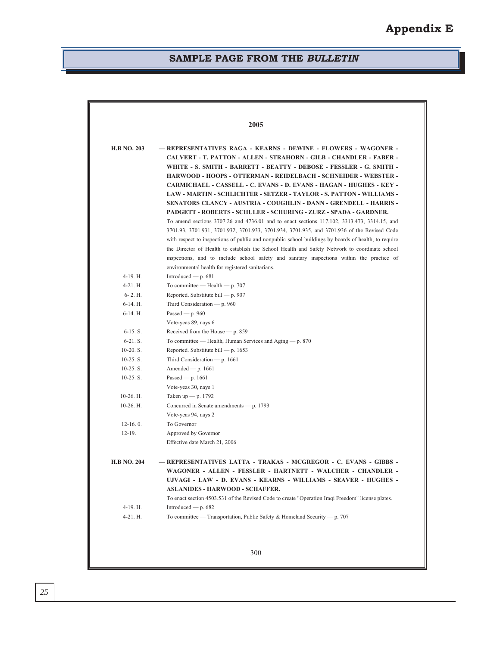### **SAMPLE PAGE FROM THE** *BULLETIN*

| <b>H.B NO. 203</b> | - REPRESENTATIVES RAGA - KEARNS - DEWINE - FLOWERS - WAGONER -<br><b>CALVERT - T. PATTON - ALLEN - STRAHORN - GILB - CHANDLER - FABER -</b><br>WHITE - S. SMITH - BARRETT - BEATTY - DEBOSE - FESSLER - G. SMITH -                                                                                   |
|--------------------|------------------------------------------------------------------------------------------------------------------------------------------------------------------------------------------------------------------------------------------------------------------------------------------------------|
|                    | <b>HARWOOD - HOOPS - OTTERMAN - REIDELBACH - SCHNEIDER - WEBSTER -</b><br><b>CARMICHAEL - CASSELL - C. EVANS - D. EVANS - HAGAN - HUGHES - KEY -</b>                                                                                                                                                 |
|                    | <b>LAW - MARTIN - SCHLICHTER - SETZER - TAYLOR - S. PATTON - WILLIAMS -</b><br><b>SENATORS CLANCY - AUSTRIA - COUGHLIN - DANN - GRENDELL - HARRIS -</b><br>PADGETT - ROBERTS - SCHULER - SCHURING - ZURZ - SPADA - GARDNER.                                                                          |
|                    | To amend sections 3707.26 and 4736.01 and to enact sections 117.102, 3313.473, 3314.15, and                                                                                                                                                                                                          |
|                    | 3701.93, 3701.931, 3701.932, 3701.933, 3701.934, 3701.935, and 3701.936 of the Revised Code<br>with respect to inspections of public and nonpublic school buildings by boards of health, to require<br>the Director of Health to establish the School Health and Safety Network to coordinate school |
|                    | inspections, and to include school safety and sanitary inspections within the practice of<br>environmental health for registered sanitarians.                                                                                                                                                        |
| 4-19. H.           | Introduced — $p.681$                                                                                                                                                                                                                                                                                 |
| $4-21.$ H.         | To committee — Health — $p. 707$                                                                                                                                                                                                                                                                     |
| $6-2.$ H.          | Reported. Substitute bill — p. 907                                                                                                                                                                                                                                                                   |
| $6-14.$ H.         | Third Consideration — $p.960$                                                                                                                                                                                                                                                                        |
| $6-14.$ H.         | Passed — $p.960$                                                                                                                                                                                                                                                                                     |
|                    | Vote-yeas 89, nays 6                                                                                                                                                                                                                                                                                 |
| $6-15. S.$         | Received from the House - p. 859                                                                                                                                                                                                                                                                     |
| $6-21. S.$         | To committee — Health, Human Services and Aging — $p. 870$                                                                                                                                                                                                                                           |
| $10-20. S.$        | Reported. Substitute bill $-$ p. 1653                                                                                                                                                                                                                                                                |
| $10-25.$ S.        | Third Consideration — $p. 1661$                                                                                                                                                                                                                                                                      |
| $10-25.$ S.        | Amended — $p. 1661$                                                                                                                                                                                                                                                                                  |
| $10-25.$ S.        | Passed — $p. 1661$                                                                                                                                                                                                                                                                                   |
|                    | Vote-yeas 30, nays 1                                                                                                                                                                                                                                                                                 |
| 10-26. H.          | Taken up $-$ p. 1792                                                                                                                                                                                                                                                                                 |
| $10-26.$ H.        | Concurred in Senate amendments — p. 1793                                                                                                                                                                                                                                                             |
|                    | Vote-yeas 94, nays 2                                                                                                                                                                                                                                                                                 |
| $12-16.0.$         | To Governor                                                                                                                                                                                                                                                                                          |
| $12-19.$           | Approved by Governor                                                                                                                                                                                                                                                                                 |
|                    | Effective date March 21, 2006                                                                                                                                                                                                                                                                        |
| <b>H.B NO. 204</b> | - REPRESENTATIVES LATTA - TRAKAS - MCGREGOR - C. EVANS - GIBBS -                                                                                                                                                                                                                                     |
|                    | WAGONER - ALLEN - FESSLER - HARTNETT - WALCHER - CHANDLER                                                                                                                                                                                                                                            |
|                    | UJVAGI - LAW - D. EVANS - KEARNS - WILLIAMS - SEAVER - HUGHES -                                                                                                                                                                                                                                      |
|                    | <b>ASLANIDES - HARWOOD - SCHAFFER.</b>                                                                                                                                                                                                                                                               |
|                    | To enact section 4503.531 of the Revised Code to create "Operation Iraqi Freedom" license plates.                                                                                                                                                                                                    |
| 4-19. H.           | Introduced — $p.682$                                                                                                                                                                                                                                                                                 |
| $4-21. H.$         | To committee — Transportation, Public Safety & Homeland Security — p. 707                                                                                                                                                                                                                            |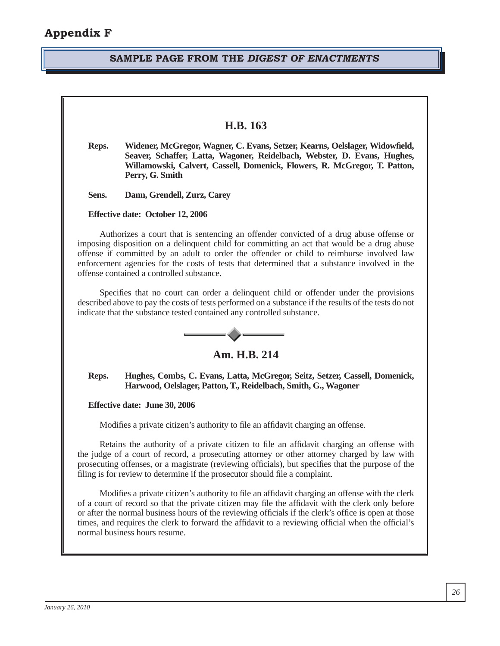#### **SAMPLE PAGE FROM THE** *DIGEST OF ENACTMENTS*

#### **H.B. 163**

- **Reps. Widener, McGregor, Wagner, C. Evans, Setzer, Kearns, Oelslager, Widowfi eld, Seaver, Schaffer, Latta, Wagoner, Reidelbach, Webster, D. Evans, Hughes, Willamowski, Calvert, Cassell, Domenick, Flowers, R. McGregor, T. Patton, Perry, G. Smith**
- **Sens. Dann, Grendell, Zurz, Carey**

**Effective date: October 12, 2006**

Authorizes a court that is sentencing an offender convicted of a drug abuse offense or imposing disposition on a delinquent child for committing an act that would be a drug abuse offense if committed by an adult to order the offender or child to reimburse involved law enforcement agencies for the costs of tests that determined that a substance involved in the offense contained a controlled substance.

Specifies that no court can order a delinquent child or offender under the provisions described above to pay the costs of tests performed on a substance if the results of the tests do not indicate that the substance tested contained any controlled substance.



#### **Reps. Hughes, Combs, C. Evans, Latta, McGregor, Seitz, Setzer, Cassell, Domenick, Harwood, Oelslager, Patton, T., Reidelbach, Smith, G., Wagoner**

**Effective date: June 30, 2006**

Modifies a private citizen's authority to file an affidavit charging an offense.

Retains the authority of a private citizen to file an affidavit charging an offense with the judge of a court of record, a prosecuting attorney or other attorney charged by law with prosecuting offenses, or a magistrate (reviewing officials), but specifies that the purpose of the filing is for review to determine if the prosecutor should file a complaint.

Modifies a private citizen's authority to file an affidavit charging an offense with the clerk of a court of record so that the private citizen may file the affidavit with the clerk only before or after the normal business hours of the reviewing officials if the clerk's office is open at those times, and requires the clerk to forward the affidavit to a reviewing official when the official's normal business hours resume.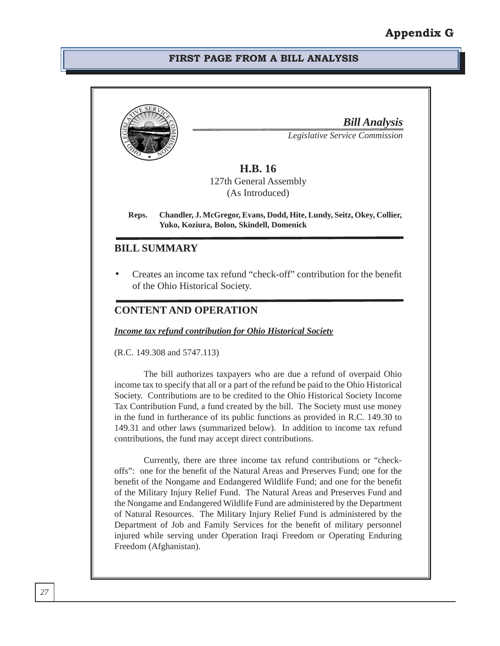#### **FIRST PAGE FROM A BILL ANALYSIS**

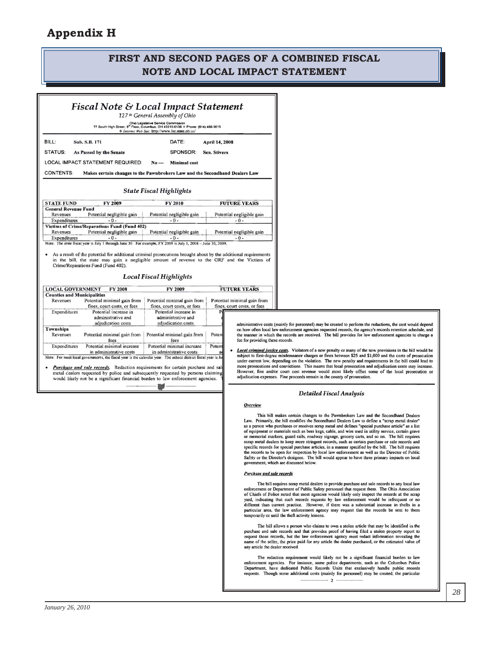# **Appendix H**

# **FIRST AND SECOND PAGES OF A COMBINED FISCAL NOTE AND LOCAL IMPACT STATEMENT**

|                                    |                                                                                                                       | 127 <sup>th</sup> General Assembly of Ohio                                                                                                                                                   | <b>Fiscal Note &amp; Local Impact Statement</b>                                                                                                                                                                |
|------------------------------------|-----------------------------------------------------------------------------------------------------------------------|----------------------------------------------------------------------------------------------------------------------------------------------------------------------------------------------|----------------------------------------------------------------------------------------------------------------------------------------------------------------------------------------------------------------|
|                                    |                                                                                                                       | Ohio Legislative Service Commission<br>77 South High Street, 9 <sup>th</sup> Floor, Columbus, OH 43215-6136 $\div$ Phone: (614) 466-3615<br>◆ Internet Web Site: http://www.lsc.state.oh.us/ |                                                                                                                                                                                                                |
| BILL:                              | Sub. S.B. 171                                                                                                         | DATE:                                                                                                                                                                                        | April 14, 2008                                                                                                                                                                                                 |
| <b>STATUS:</b>                     | As Passed by the Senate                                                                                               | SPONSOR:                                                                                                                                                                                     | <b>Sen. Stivers</b>                                                                                                                                                                                            |
|                                    | LOCAL IMPACT STATEMENT REQUIRED:                                                                                      | <b>Minimal</b> cost<br>$No -$                                                                                                                                                                |                                                                                                                                                                                                                |
| <b>CONTENTS:</b>                   | Makes certain changes to the Pawnbrokers Law and the Secondhand Dealers Law                                           |                                                                                                                                                                                              |                                                                                                                                                                                                                |
|                                    |                                                                                                                       | <b>State Fiscal Highlights</b>                                                                                                                                                               |                                                                                                                                                                                                                |
| <b>STATE FUND</b>                  | FY 2009                                                                                                               | FY 2010                                                                                                                                                                                      | <b>FUTURE YEARS</b>                                                                                                                                                                                            |
| <b>General Revenue Fund</b>        |                                                                                                                       |                                                                                                                                                                                              |                                                                                                                                                                                                                |
| Revenues                           | Potential negligible gain                                                                                             | Potential negligible gain                                                                                                                                                                    | Potential negligible gain                                                                                                                                                                                      |
| Expenditures                       | $-0-$                                                                                                                 | $-0-$                                                                                                                                                                                        | $-0-$                                                                                                                                                                                                          |
|                                    | Victims of Crime/Reparations Fund (Fund 402)                                                                          |                                                                                                                                                                                              |                                                                                                                                                                                                                |
| Revenues                           | Potential negligible gain                                                                                             | Potential negligible gain                                                                                                                                                                    | Potential negligible gain                                                                                                                                                                                      |
| Expenditures                       | $-0-$<br>Note: The state fiscal year is July 1 through June 30. For example, FY 2009 is July 1, 2008 - June 30, 2009. | $-0-$                                                                                                                                                                                        | $-0-$                                                                                                                                                                                                          |
|                                    |                                                                                                                       |                                                                                                                                                                                              |                                                                                                                                                                                                                |
|                                    | Crime/Reparations Fund (Fund 402).                                                                                    | <b>Local Fiscal Highlights</b>                                                                                                                                                               | As a result of the potential for additional criminal prosecutions brought about by the additional requirements<br>in the bill, the state may gain a negligible amount of revenue to the GRF and the Victims of |
| <b>LOCAL GOVERNMENT</b>            | FY 2008                                                                                                               | FY 2009                                                                                                                                                                                      | <b>FUTURE YEARS</b>                                                                                                                                                                                            |
| <b>Counties and Municipalities</b> |                                                                                                                       |                                                                                                                                                                                              |                                                                                                                                                                                                                |
| Revenues                           | Potential minimal gain from<br>fines, court costs, or fees                                                            | Potential minimal gain from<br>fines, court costs, or fees                                                                                                                                   | Potential minimal gain from<br>fines, court costs, or fees                                                                                                                                                     |
| Expenditures                       | Potential increase in                                                                                                 | Potential increase in                                                                                                                                                                        | P۱                                                                                                                                                                                                             |
|                                    | administrative and                                                                                                    | administrative and                                                                                                                                                                           |                                                                                                                                                                                                                |
|                                    | adjudication costs                                                                                                    | adjudication costs                                                                                                                                                                           | administrative costs                                                                                                                                                                                           |
| <b>Townships</b>                   |                                                                                                                       |                                                                                                                                                                                              | on how often local                                                                                                                                                                                             |
| Revenues                           | Potential minimal gain from                                                                                           | Potential minimal gain from                                                                                                                                                                  | Poten<br>the manner in whic                                                                                                                                                                                    |
|                                    | fees                                                                                                                  | fees                                                                                                                                                                                         | fee for providing the                                                                                                                                                                                          |
| Expenditures                       | Potential minimal increase<br>in administrative costs                                                                 | Potential minimal increase<br>in administrative costs                                                                                                                                        | Potent<br><b>Local criminal just</b><br>a<br>subject to first-degr                                                                                                                                             |

**Purchase and sale records.** Redaction requirements for certain purchase and sale metal cealers requested by police and subsequently requested by persons claiming would likely not be a significant financial burden to law enforcement agencies

(mainly for personnel) may be created to perform the redactions, the cost would depend Numerous contractors in the seconds that the conductions, the conduction schedule, and<br>law enforcement agencies requested records, the agency's records retention schedule, and<br>th the records are received. The bill provides se records.

tice costs. Violators of a new penalty or many of the new provisions in the bill would be ree misdemeanor charges or fines between \$25 and \$1,000 and the costs of prosecution under current law, depending on the violation. The new penalty and requirements in the bill could lead to more prosecutions and convictions. This means that local prosecution and adjudication costs may increase. However, fine and/or court cost revenue would most likely offset some of the local prosecution or adjudication expenses. Fine proceeds remain in the county of prosecution.

#### **Detailed Fiscal Analysis**

 $O$ verview

This bill makes certain changes to the Pawnbrokers Law and the Secondhand Dealers Law. Primarily, the bill modifies the Secondhand Dealers Law to define a "scrap metal dealer" Law. Trimanty, the our monutes the secondmand Deaters Law to define a scrap metal deater<br>as a person who purchases or receives scrap metal and defines "special purchase article" as a list<br>of equipment or materials such as specific records for special purchase articles, in a manner specified by the bill. The bill requires the records to be open for inspection by local law enforcement as well as the Director of Public Safety or the Director's designee. The bill would appear to have three primary impacts on local government, which are discussed below.

#### **Purchase and sale records**

The bill requires scrap metal dealers to provide purchase and sale records to any local law<br>reement or Department of Public Safety personnel that request them. The Ohio Association of Chiefs of Police noted that most agencies would likely only inspect the records at the scrap yard, indicating that such records requests by law enforcement would be infrequent or no different than current practice. However, if there was a substantial increase in thefts in a particular area, the law enforcement agency may request that the records be sent to them temporarily or until the theft activity lessens.

The bill allows a person who claims to own a stolen article that may be identified in the purchase and sale records and that provides proof of having filed a stolen property report to<br>request those records, but the law enforcement agency must redact information revealing the<br>name of the seller, the price paid f any article the dealer received

The redaction requirement would likely not be a significant financial burden to law enforcement agencies. For instance, some police departments, such as the Columbus Police<br>Department, have dedicated Public Records Units that exclusively handle public records requests. Though some additional costs (mainly for personnel) may be created, the particular  $-2$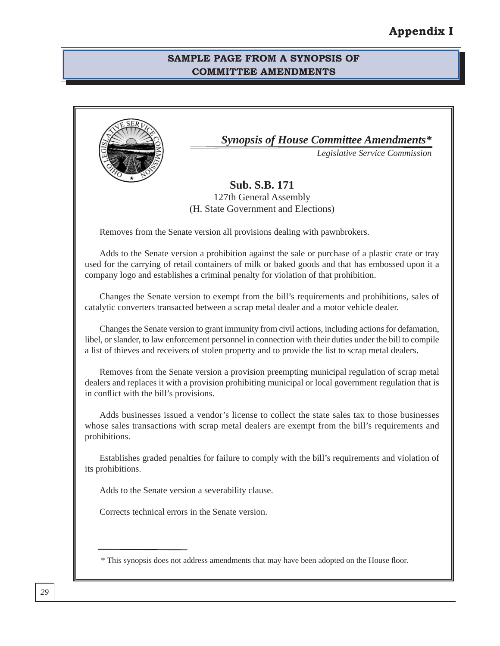#### **SAMPLE PAGE FROM A SYNOPSIS OF COMMITTEE AMENDMENTS**

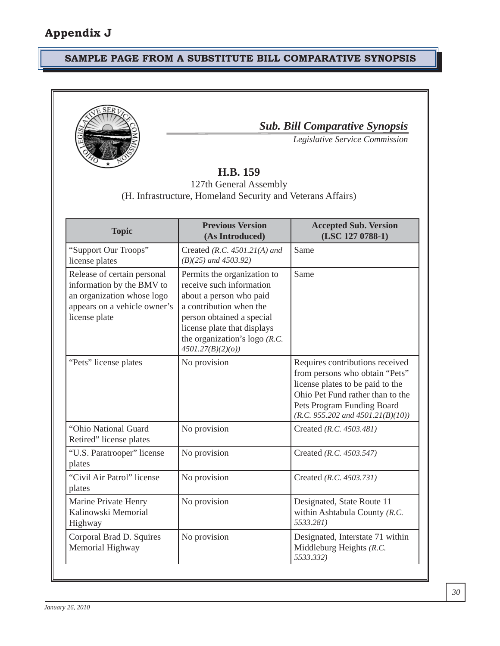# **SAMPLE PAGE FROM A SUBSTITUTE BILL COMPARATIVE SYNOPSIS**



*Sub. Bill Comparative Synopsis*

*Legislative Service Commission* 

# **H.B. 159**

127th General Assembly (H. Infrastructure, Homeland Security and Veterans Affairs)

| <b>Topic</b>                                                                                                                            | <b>Previous Version</b><br>(As Introduced)                                                                                                                                                                                       | <b>Accepted Sub. Version</b><br>(LSC 127 0788-1)                                                                                                                                                                 |
|-----------------------------------------------------------------------------------------------------------------------------------------|----------------------------------------------------------------------------------------------------------------------------------------------------------------------------------------------------------------------------------|------------------------------------------------------------------------------------------------------------------------------------------------------------------------------------------------------------------|
| "Support Our Troops"<br>license plates                                                                                                  | Created (R.C. $4501.21(A)$ and<br>$(B)(25)$ and 4503.92)                                                                                                                                                                         | Same                                                                                                                                                                                                             |
| Release of certain personal<br>information by the BMV to<br>an organization whose logo<br>appears on a vehicle owner's<br>license plate | Permits the organization to<br>receive such information<br>about a person who paid<br>a contribution when the<br>person obtained a special<br>license plate that displays<br>the organization's logo $(R.C.$<br>4501.27(B)(2)(o) | Same                                                                                                                                                                                                             |
| "Pets" license plates                                                                                                                   | No provision                                                                                                                                                                                                                     | Requires contributions received<br>from persons who obtain "Pets"<br>license plates to be paid to the<br>Ohio Pet Fund rather than to the<br>Pets Program Funding Board<br>$(R.C. 955.202$ and $4501.21(B)(10))$ |
| "Ohio National Guard<br>Retired" license plates                                                                                         | No provision                                                                                                                                                                                                                     | Created (R.C. 4503.481)                                                                                                                                                                                          |
| "U.S. Paratrooper" license<br>plates                                                                                                    | No provision                                                                                                                                                                                                                     | Created (R.C. 4503.547)                                                                                                                                                                                          |
| "Civil Air Patrol" license<br>plates                                                                                                    | No provision                                                                                                                                                                                                                     | Created (R.C. 4503.731)                                                                                                                                                                                          |
| Marine Private Henry<br>Kalinowski Memorial<br>Highway                                                                                  | No provision                                                                                                                                                                                                                     | Designated, State Route 11<br>within Ashtabula County (R.C.<br>5533.281)                                                                                                                                         |
| Corporal Brad D. Squires<br>Memorial Highway                                                                                            | No provision                                                                                                                                                                                                                     | Designated, Interstate 71 within<br>Middleburg Heights (R.C.<br>5533.332)                                                                                                                                        |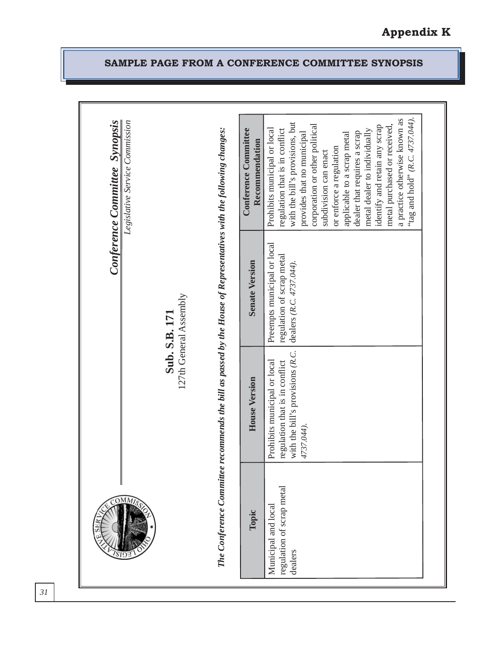| Conference Committee Synopsis | Legislative Service Commission |                                                                                                                    | <b>Conference Committee</b><br>Recommendation | "tag and hold" (R.C. 4737.044).<br>a practice otherwise known as<br>with the bill's provisions, but<br>metal purchased or received,<br>corporation or other political<br>identify and retain any scrap<br>Prohibits municipal or local<br>regulation that is in conflict<br>metal dealer to individually<br>provides that no municipal<br>dealer that requires a scrap<br>applicable to a scrap metal<br>or enforce a regulation<br>subdivision can enact |  |
|-------------------------------|--------------------------------|--------------------------------------------------------------------------------------------------------------------|-----------------------------------------------|-----------------------------------------------------------------------------------------------------------------------------------------------------------------------------------------------------------------------------------------------------------------------------------------------------------------------------------------------------------------------------------------------------------------------------------------------------------|--|
|                               |                                | 127th General Assembly<br>Sub. S.B. 171                                                                            | <b>Senate Version</b>                         | Preempts municipal or local<br>regulation of scrap metal<br>dealers (R.C. 4737.044).                                                                                                                                                                                                                                                                                                                                                                      |  |
|                               |                                | The Conference Committee recommends the bill as passed by the House of Representatives with the following changes: | House Version                                 | with the bill's provisions (R.C.<br>Prohibits municipal or local<br>regulation that is in conflict<br>4737.044).                                                                                                                                                                                                                                                                                                                                          |  |
|                               | MMI <sub>S</sub>               |                                                                                                                    | Topic                                         | regulation of scrap metal<br>Municipal and local<br>dealers                                                                                                                                                                                                                                                                                                                                                                                               |  |

# **SAMPLE PAGE FROM A CONFERENCE COMMITTEE SYNOPSIS**

**Appendix K**